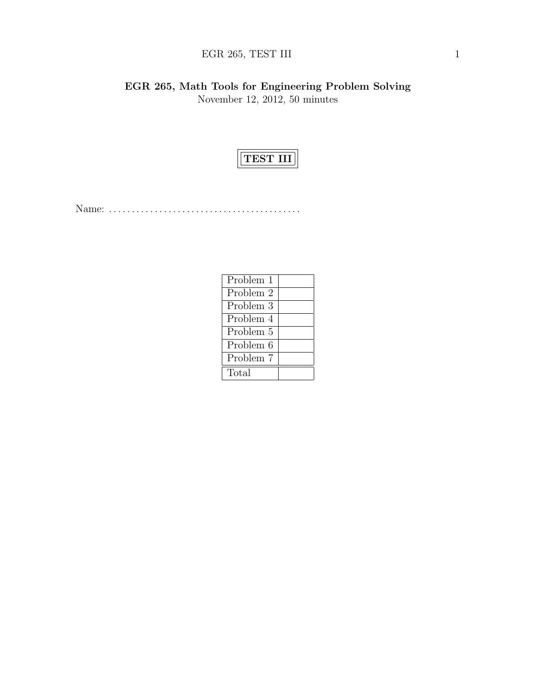# $\rm{EGR}$  265, TEST III 1

EGR 265, Math Tools for Engineering Problem Solving November 12, 2012, 50 minutes



Name: . . . . . . . . . . . . . . . . . . . . . . . . . . . . . . . . . . . . . . . . . .

| Problem 1 |  |
|-----------|--|
| Problem 2 |  |
| Problem 3 |  |
| Problem 4 |  |
| Problem 5 |  |
| Problem 6 |  |
| Problem 7 |  |
| Total     |  |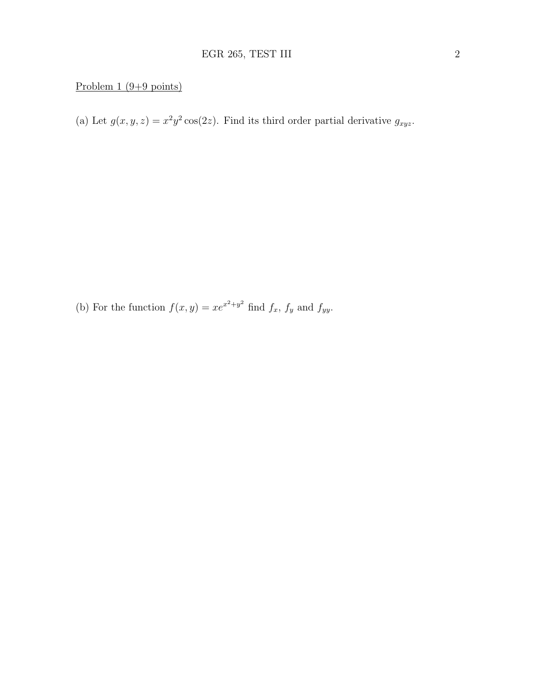## Problem 1 (9+9 points)

(a) Let  $g(x, y, z) = x^2 y^2 \cos(2z)$ . Find its third order partial derivative  $g_{xyz}$ .

(b) For the function  $f(x, y) = xe^{x^2+y^2}$  find  $f_x$ ,  $f_y$  and  $f_{yy}$ .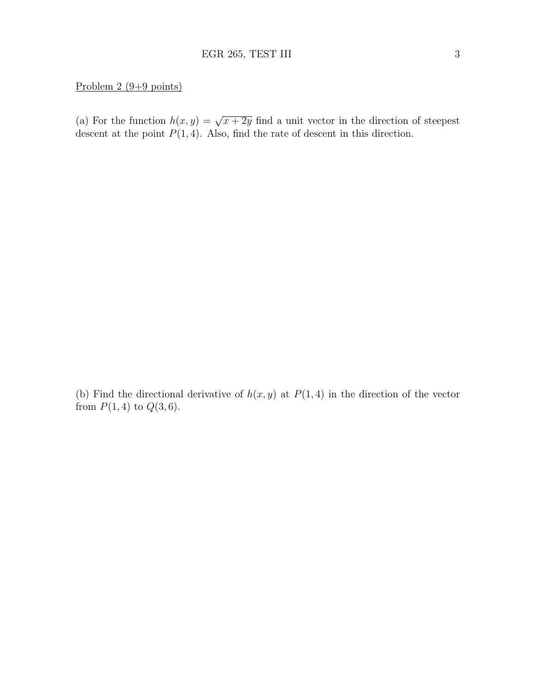### Problem 2 (9+9 points)

(a) For the function  $h(x, y) = \sqrt{x + 2y}$  find a unit vector in the direction of steepest descent at the point  $P(1, 4)$ . Also, find the rate of descent in this direction.

(b) Find the directional derivative of  $h(x, y)$  at  $P(1, 4)$  in the direction of the vector from  $P(1, 4)$  to  $Q(3, 6)$ .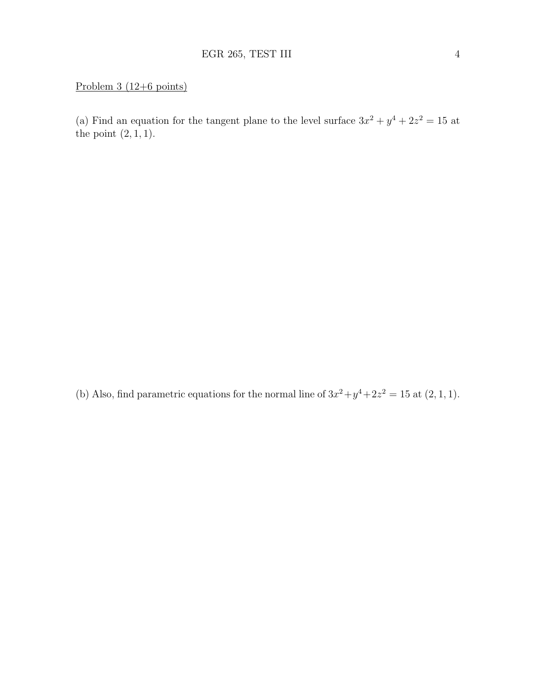### Problem 3 (12+6 points)

(a) Find an equation for the tangent plane to the level surface  $3x^2 + y^4 + 2z^2 = 15$  at the point  $(2, 1, 1)$ .

(b) Also, find parametric equations for the normal line of  $3x^2 + y^4 + 2z^2 = 15$  at  $(2, 1, 1)$ .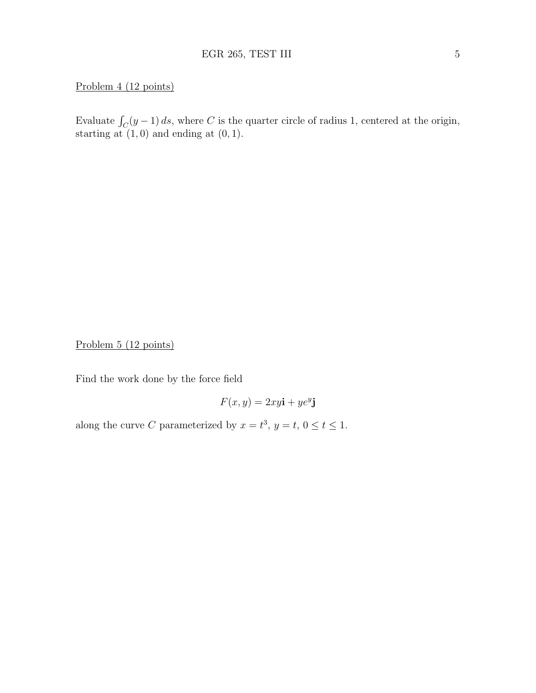### Problem 4 (12 points)

Evaluate  $\int_C (y-1) ds$ , where C is the quarter circle of radius 1, centered at the origin, starting at  $(1, 0)$  and ending at  $(0, 1)$ .

Problem 5 (12 points)

Find the work done by the force field

$$
F(x, y) = 2xy\mathbf{i} + ye^y\mathbf{j}
$$

along the curve C parameterized by  $x = t^3$ ,  $y = t$ ,  $0 \le t \le 1$ .